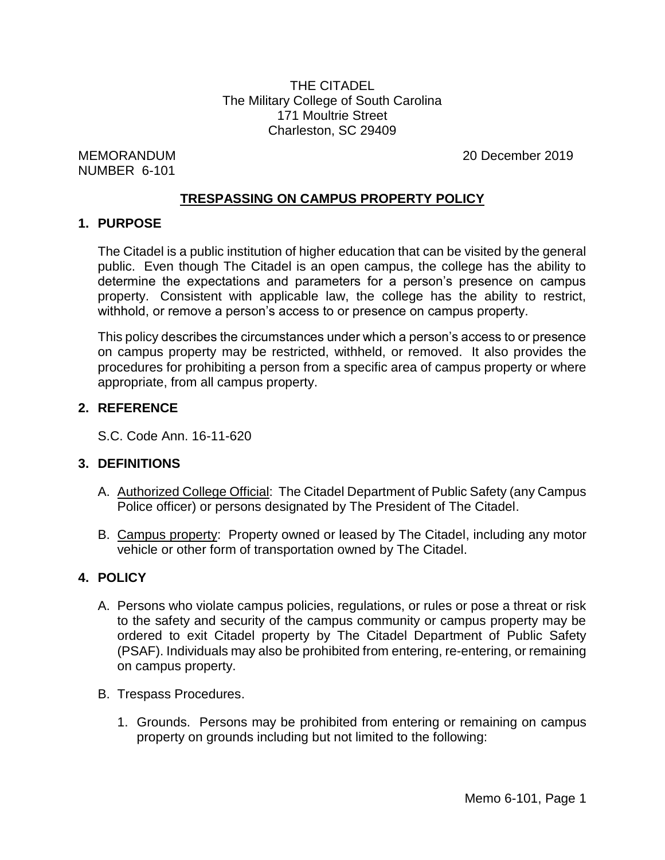THE CITADEL The Military College of South Carolina 171 Moultrie Street Charleston, SC 29409

NUMBER 6-101

MEMORANDUM 20 December 2019

#### **TRESPASSING ON CAMPUS PROPERTY POLICY**

#### **1. PURPOSE**

The Citadel is a public institution of higher education that can be visited by the general public. Even though The Citadel is an open campus, the college has the ability to determine the expectations and parameters for a person's presence on campus property. Consistent with applicable law, the college has the ability to restrict, withhold, or remove a person's access to or presence on campus property.

This policy describes the circumstances under which a person's access to or presence on campus property may be restricted, withheld, or removed. It also provides the procedures for prohibiting a person from a specific area of campus property or where appropriate, from all campus property.

### **2. REFERENCE**

S.C. Code Ann. 16-11-620

# **3. DEFINITIONS**

- A. Authorized College Official: The Citadel Department of Public Safety (any Campus Police officer) or persons designated by The President of The Citadel.
- B. Campus property: Property owned or leased by The Citadel, including any motor vehicle or other form of transportation owned by The Citadel.

# **4. POLICY**

- A. Persons who violate campus policies, regulations, or rules or pose a threat or risk to the safety and security of the campus community or campus property may be ordered to exit Citadel property by The Citadel Department of Public Safety (PSAF). Individuals may also be prohibited from entering, re-entering, or remaining on campus property.
- B. Trespass Procedures.
	- 1. Grounds. Persons may be prohibited from entering or remaining on campus property on grounds including but not limited to the following: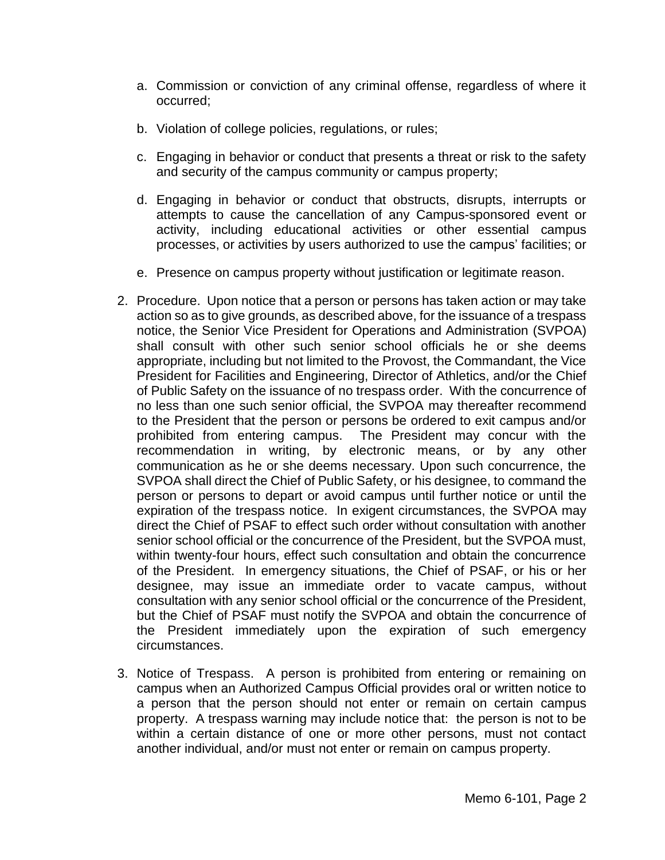- a. Commission or conviction of any criminal offense, regardless of where it occurred;
- b. Violation of college policies, regulations, or rules;
- c. Engaging in behavior or conduct that presents a threat or risk to the safety and security of the campus community or campus property;
- d. Engaging in behavior or conduct that obstructs, disrupts, interrupts or attempts to cause the cancellation of any Campus-sponsored event or activity, including educational activities or other essential campus processes, or activities by users authorized to use the campus' facilities; or
- e. Presence on campus property without justification or legitimate reason.
- 2. Procedure. Upon notice that a person or persons has taken action or may take action so as to give grounds, as described above, for the issuance of a trespass notice, the Senior Vice President for Operations and Administration (SVPOA) shall consult with other such senior school officials he or she deems appropriate, including but not limited to the Provost, the Commandant, the Vice President for Facilities and Engineering, Director of Athletics, and/or the Chief of Public Safety on the issuance of no trespass order. With the concurrence of no less than one such senior official, the SVPOA may thereafter recommend to the President that the person or persons be ordered to exit campus and/or prohibited from entering campus. The President may concur with the recommendation in writing, by electronic means, or by any other communication as he or she deems necessary. Upon such concurrence, the SVPOA shall direct the Chief of Public Safety, or his designee, to command the person or persons to depart or avoid campus until further notice or until the expiration of the trespass notice. In exigent circumstances, the SVPOA may direct the Chief of PSAF to effect such order without consultation with another senior school official or the concurrence of the President, but the SVPOA must, within twenty-four hours, effect such consultation and obtain the concurrence of the President. In emergency situations, the Chief of PSAF, or his or her designee, may issue an immediate order to vacate campus, without consultation with any senior school official or the concurrence of the President, but the Chief of PSAF must notify the SVPOA and obtain the concurrence of the President immediately upon the expiration of such emergency circumstances.
- 3. Notice of Trespass. A person is prohibited from entering or remaining on campus when an Authorized Campus Official provides oral or written notice to a person that the person should not enter or remain on certain campus property. A trespass warning may include notice that: the person is not to be within a certain distance of one or more other persons, must not contact another individual, and/or must not enter or remain on campus property.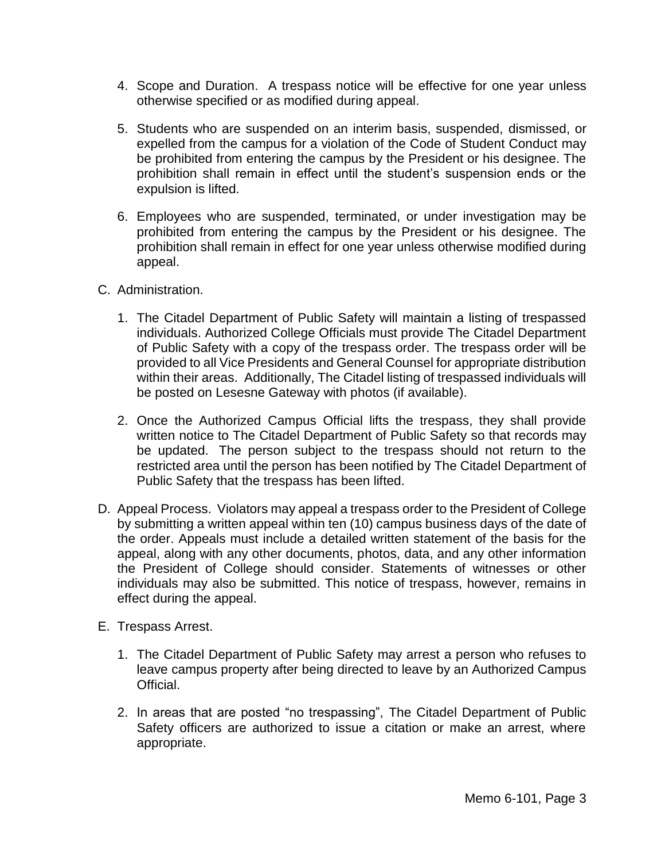- 4. Scope and Duration. A trespass notice will be effective for one year unless otherwise specified or as modified during appeal.
- 5. Students who are suspended on an interim basis, suspended, dismissed, or expelled from the campus for a violation of the Code of Student Conduct may be prohibited from entering the campus by the President or his designee. The prohibition shall remain in effect until the student's suspension ends or the expulsion is lifted.
- 6. Employees who are suspended, terminated, or under investigation may be prohibited from entering the campus by the President or his designee. The prohibition shall remain in effect for one year unless otherwise modified during appeal.
- C. Administration.
	- 1. The Citadel Department of Public Safety will maintain a listing of trespassed individuals. Authorized College Officials must provide The Citadel Department of Public Safety with a copy of the trespass order. The trespass order will be provided to all Vice Presidents and General Counsel for appropriate distribution within their areas. Additionally, The Citadel listing of trespassed individuals will be posted on Lesesne Gateway with photos (if available).
	- 2. Once the Authorized Campus Official lifts the trespass, they shall provide written notice to The Citadel Department of Public Safety so that records may be updated. The person subject to the trespass should not return to the restricted area until the person has been notified by The Citadel Department of Public Safety that the trespass has been lifted.
- D. Appeal Process. Violators may appeal a trespass order to the President of College by submitting a written appeal within ten (10) campus business days of the date of the order. Appeals must include a detailed written statement of the basis for the appeal, along with any other documents, photos, data, and any other information the President of College should consider. Statements of witnesses or other individuals may also be submitted. This notice of trespass, however, remains in effect during the appeal.
- E. Trespass Arrest.
	- 1. The Citadel Department of Public Safety may arrest a person who refuses to leave campus property after being directed to leave by an Authorized Campus Official.
	- 2. In areas that are posted "no trespassing", The Citadel Department of Public Safety officers are authorized to issue a citation or make an arrest, where appropriate.